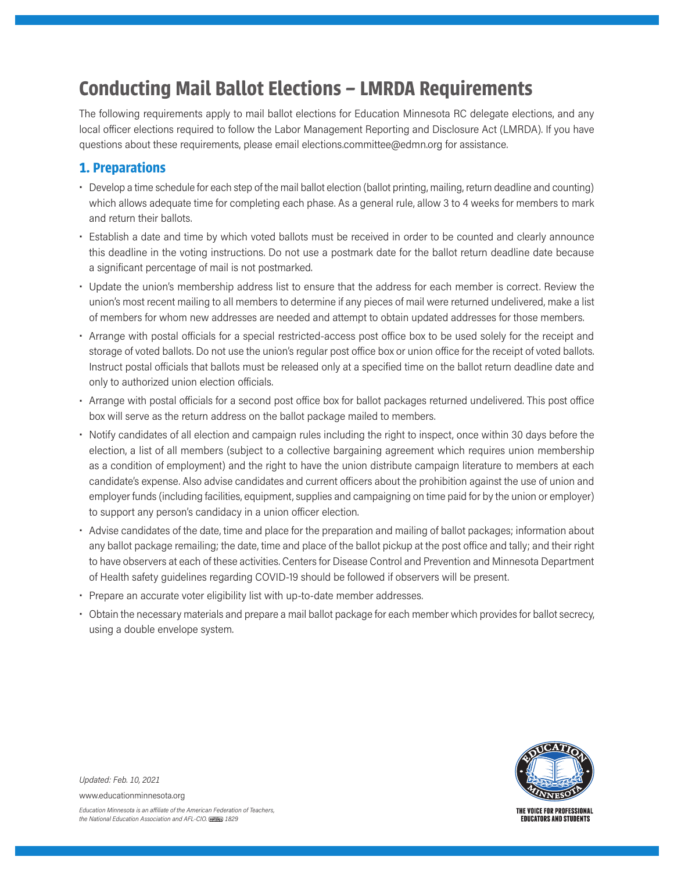# **Conducting Mail Ballot Elections – LMRDA Requirements**

The following requirements apply to mail ballot elections for Education Minnesota RC delegate elections, and any local officer elections required to follow the Labor Management Reporting and Disclosure Act (LMRDA). If you have questions about these requirements, please email elections.committee@edmn.org for assistance.

## **1. Preparations**

- Develop a time schedule for each step of the mail ballot election (ballot printing, mailing, return deadline and counting) which allows adequate time for completing each phase. As a general rule, allow 3 to 4 weeks for members to mark and return their ballots.
- Establish a date and time by which voted ballots must be received in order to be counted and clearly announce this deadline in the voting instructions. Do not use a postmark date for the ballot return deadline date because a significant percentage of mail is not postmarked.
- Update the union's membership address list to ensure that the address for each member is correct. Review the union's most recent mailing to all members to determine if any pieces of mail were returned undelivered, make a list of members for whom new addresses are needed and attempt to obtain updated addresses for those members.
- Arrange with postal officials for a special restricted-access post office box to be used solely for the receipt and storage of voted ballots. Do not use the union's regular post office box or union office for the receipt of voted ballots. Instruct postal officials that ballots must be released only at a specified time on the ballot return deadline date and only to authorized union election officials.
- Arrange with postal officials for a second post office box for ballot packages returned undelivered. This post office box will serve as the return address on the ballot package mailed to members.
- Notify candidates of all election and campaign rules including the right to inspect, once within 30 days before the election, a list of all members (subject to a collective bargaining agreement which requires union membership as a condition of employment) and the right to have the union distribute campaign literature to members at each candidate's expense. Also advise candidates and current officers about the prohibition against the use of union and employer funds (including facilities, equipment, supplies and campaigning on time paid for by the union or employer) to support any person's candidacy in a union officer election.
- Advise candidates of the date, time and place for the preparation and mailing of ballot packages; information about any ballot package remailing; the date, time and place of the ballot pickup at the post office and tally; and their right to have observers at each of these activities. Centers for Disease Control and Prevention and Minnesota Department of Health safety guidelines regarding COVID-19 should be followed if observers will be present.
- Prepare an accurate voter eligibility list with up-to-date member addresses.
- Obtain the necessary materials and prepare a mail ballot package for each member which provides for ballot secrecy, using a double envelope system.



*Updated: Feb. 10, 2021*

www.educationminnesota.org

*Education Minnesota is an a iliate of the American Federation of Teachers, the National Education Association and AFL-CIO. 1829*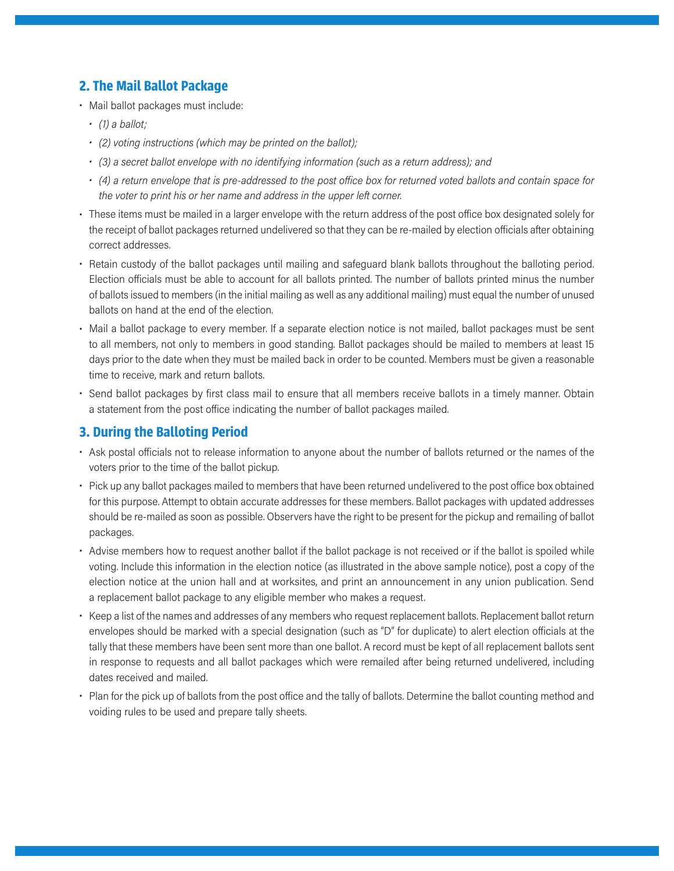## **2. The Mail Ballot Package**

- Mail ballot packages must include:
	- *• (1) a ballot;*
	- *• (2) voting instructions (which may be printed on the ballot);*
	- *• (3) a secret ballot envelope with no identifying information (such as a return address); and*
	- *• (4) a return envelope that is pre-addressed to the post office box for returned voted ballots and contain space for the voter to print his or her name and address in the upper left corner.*
- These items must be mailed in a larger envelope with the return address of the post office box designated solely for the receipt of ballot packages returned undelivered so that they can be re-mailed by election officials after obtaining correct addresses.
- Retain custody of the ballot packages until mailing and safeguard blank ballots throughout the balloting period. Election officials must be able to account for all ballots printed. The number of ballots printed minus the number of ballots issued to members (in the initial mailing as well as any additional mailing) must equal the number of unused ballots on hand at the end of the election.
- Mail a ballot package to every member. If a separate election notice is not mailed, ballot packages must be sent to all members, not only to members in good standing. Ballot packages should be mailed to members at least 15 days prior to the date when they must be mailed back in order to be counted. Members must be given a reasonable time to receive, mark and return ballots.
- Send ballot packages by first class mail to ensure that all members receive ballots in a timely manner. Obtain a statement from the post office indicating the number of ballot packages mailed.

#### **3. During the Balloting Period**

- Ask postal officials not to release information to anyone about the number of ballots returned or the names of the voters prior to the time of the ballot pickup.
- Pick up any ballot packages mailed to members that have been returned undelivered to the post office box obtained for this purpose. Attempt to obtain accurate addresses for these members. Ballot packages with updated addresses should be re-mailed as soon as possible. Observers have the right to be present for the pickup and remailing of ballot packages.
- Advise members how to request another ballot if the ballot package is not received or if the ballot is spoiled while voting. Include this information in the election notice (as illustrated in the above sample notice), post a copy of the election notice at the union hall and at worksites, and print an announcement in any union publication. Send a replacement ballot package to any eligible member who makes a request.
- Keep a list of the names and addresses of any members who request replacement ballots. Replacement ballot return envelopes should be marked with a special designation (such as "D" for duplicate) to alert election officials at the tally that these members have been sent more than one ballot. A record must be kept of all replacement ballots sent in response to requests and all ballot packages which were remailed after being returned undelivered, including dates received and mailed.
- Plan for the pick up of ballots from the post office and the tally of ballots. Determine the ballot counting method and voiding rules to be used and prepare tally sheets.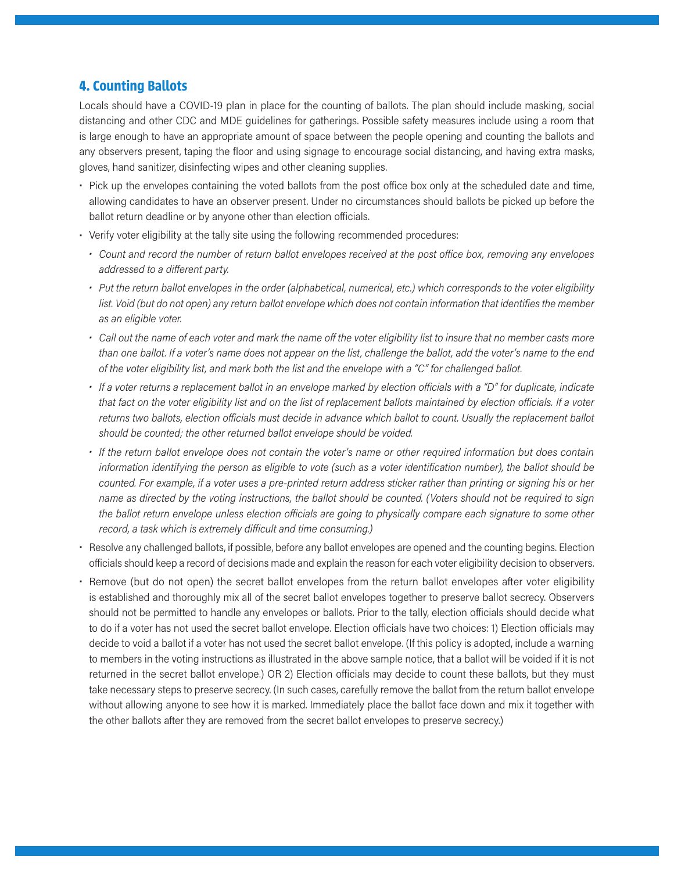#### **4. Counting Ballots**

Locals should have a COVID-19 plan in place for the counting of ballots. The plan should include masking, social distancing and other CDC and MDE guidelines for gatherings. Possible safety measures include using a room that is large enough to have an appropriate amount of space between the people opening and counting the ballots and any observers present, taping the floor and using signage to encourage social distancing, and having extra masks, gloves, hand sanitizer, disinfecting wipes and other cleaning supplies.

- Pick up the envelopes containing the voted ballots from the post office box only at the scheduled date and time, allowing candidates to have an observer present. Under no circumstances should ballots be picked up before the ballot return deadline or by anyone other than election officials.
- Verify voter eligibility at the tally site using the following recommended procedures:
	- *• Count and record the number of return ballot envelopes received at the post office box, removing any envelopes addressed to a different party.*
	- *• Put the return ballot envelopes in the order (alphabetical, numerical, etc.) which corresponds to the voter eligibility*  list. Void (but do not open) any return ballot envelope which does not contain information that identifies the member *as an eligible voter.*
	- *• Call out the name of each voter and mark the name off the voter eligibility list to insure that no member casts more*  than one ballot. If a voter's name does not appear on the list, challenge the ballot, add the voter's name to the end *of the voter eligibility list, and mark both the list and the envelope with a "C" for challenged ballot.*
	- If a voter returns a replacement ballot in an envelope marked by election officials with a "D" for duplicate, indicate *that fact on the voter eligibility list and on the list of replacement ballots maintained by election officials. If a voter*  returns two ballots, election officials must decide in advance which ballot to count. Usually the replacement ballot *should be counted; the other returned ballot envelope should be voided.*
	- *• If the return ballot envelope does not contain the voter's name or other required information but does contain information identifying the person as eligible to vote (such as a voter identification number), the ballot should be*  counted. For example, if a voter uses a pre-printed return address sticker rather than printing or signing his or her *name as directed by the voting instructions, the ballot should be counted. (Voters should not be required to sign*  the ballot return envelope unless election officials are going to physically compare each signature to some other *record, a task which is extremely difficult and time consuming.)*
- Resolve any challenged ballots, if possible, before any ballot envelopes are opened and the counting begins. Election officials should keep a record of decisions made and explain the reason for each voter eligibility decision to observers.
- Remove (but do not open) the secret ballot envelopes from the return ballot envelopes after voter eligibility is established and thoroughly mix all of the secret ballot envelopes together to preserve ballot secrecy. Observers should not be permitted to handle any envelopes or ballots. Prior to the tally, election officials should decide what to do if a voter has not used the secret ballot envelope. Election officials have two choices: 1) Election officials may decide to void a ballot if a voter has not used the secret ballot envelope. (If this policy is adopted, include a warning to members in the voting instructions as illustrated in the above sample notice, that a ballot will be voided if it is not returned in the secret ballot envelope.) OR 2) Election officials may decide to count these ballots, but they must take necessary steps to preserve secrecy. (In such cases, carefully remove the ballot from the return ballot envelope without allowing anyone to see how it is marked. Immediately place the ballot face down and mix it together with the other ballots after they are removed from the secret ballot envelopes to preserve secrecy.)